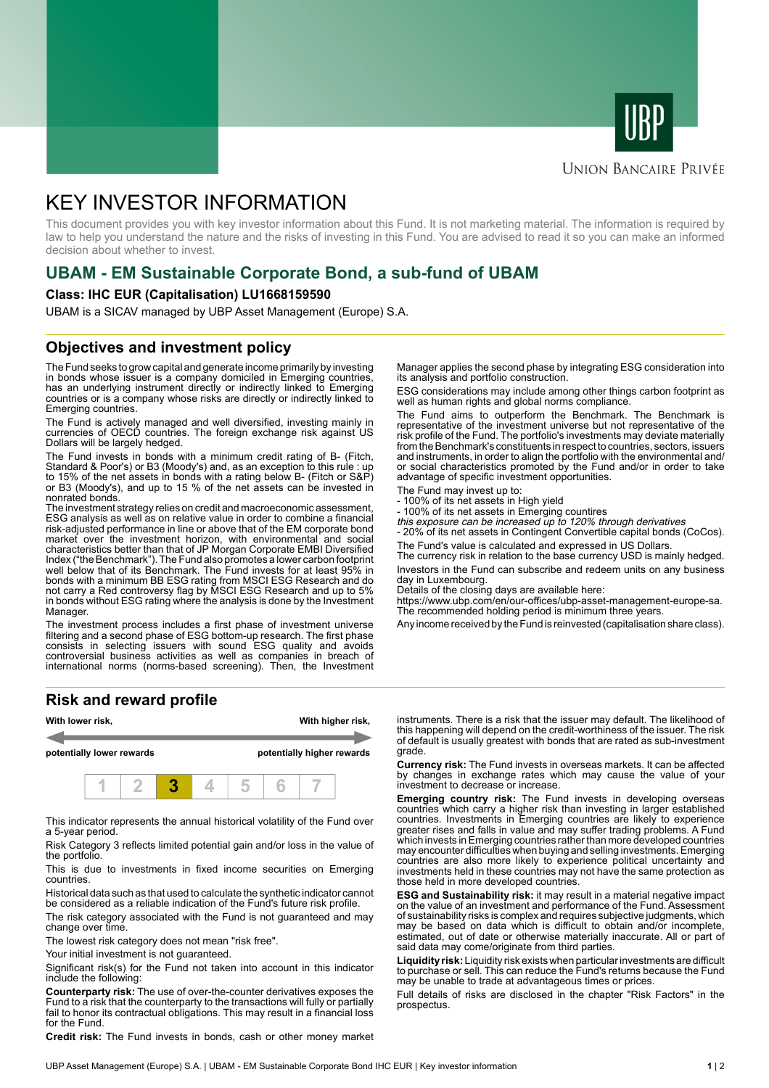



# **UNION BANCAIRE PRIVÉE**

# KEY INVESTOR INFORMATION

This document provides you with key investor information about this Fund. It is not marketing material. The information is required by law to help you understand the nature and the risks of investing in this Fund. You are advised to read it so you can make an informed decision about whether to invest.

# **UBAM - EM Sustainable Corporate Bond, a sub-fund of UBAM**

#### **Class: IHC EUR (Capitalisation) LU1668159590**

UBAM is a SICAV managed by UBP Asset Management (Europe) S.A.

# **Objectives and investment policy**

The Fund seeks to grow capital and generate income primarily by investing in bonds whose issuer is a company domiciled in Emerging countries, has an underlying instrument directly or indirectly linked to Emerging countries or is a company whose risks are directly or indirectly linked to Emerging countries.

The Fund is actively managed and well diversified, investing mainly in currencies of OECD countries. The foreign exchange risk against US Dollars will be largely hedged.

The Fund invests in bonds with a minimum credit rating of B- (Fitch, Standard & Poor's) or B3 (Moody's) and, as an exception to this rule : up to 15% of the net assets in bonds with a rating below B- (Fitch or S&P) or B3 (Moody's), and up to 15 % of the net assets can be invested in nonrated bonds.

The investment strategy relies on credit and macroeconomic assessment, ESG analysis as well as on relative value in order to combine a financial risk-adjusted performance in line or above that of the EM corporate bond market over the investment horizon, with environmental and social characteristics better than that of JP Morgan Corporate EMBI Diversified Index ("the Benchmark"). The Fund also promotes a lower carbon footprint well below that of its Benchmark. The Fund invests for at least 95% in bonds with a minimum BB ESG rating from MSCI ESG Research and do not carry a Red controversy flag by MSCI ESG Research and up to 5% in bonds without ESG rating where the analysis is done by the Investment Manager.

The investment process includes a first phase of investment universe filtering and a second phase of ESG bottom-up research. The first phase consists in selecting issuers with sound ESG quality and avoids controversial business activities as well as companies in breach of international norms (norms-based screening). Then, the Investment

## **Risk and reward profile**



This indicator represents the annual historical volatility of the Fund over a 5-year period.

Risk Category 3 reflects limited potential gain and/or loss in the value of the portfolio.

This is due to investments in fixed income securities on Emerging countries.

Historical data such as that used to calculate the synthetic indicator cannot be considered as a reliable indication of the Fund's future risk profile.

The risk category associated with the Fund is not guaranteed and may change over time.

The lowest risk category does not mean "risk free".

Your initial investment is not guaranteed.

Significant risk(s) for the Fund not taken into account in this indicator include the following:

**Counterparty risk:** The use of over-the-counter derivatives exposes the Fund to a risk that the counterparty to the transactions will fully or partially fail to honor its contractual obligations. This may result in a financial loss for the Fund.

**Credit risk:** The Fund invests in bonds, cash or other money market

Manager applies the second phase by integrating ESG consideration into its analysis and portfolio construction.

ESG considerations may include among other things carbon footprint as well as human rights and global norms compliance.

The Fund aims to outperform the Benchmark. The Benchmark is representative of the investment universe but not representative of the risk profile of the Fund. The portfolio's investments may deviate materially from the Benchmark's constituents in respect to countries, sectors, issuers and instruments, in order to align the portfolio with the environmental and/ or social characteristics promoted by the Fund and/or in order to take advantage of specific investment opportunities.

The Fund may invest up to:

- 100% of its net assets in High yield
- 100% of its net assets in Emerging countires this exposure can be increased up to 120% through derivatives
- 

- 20% of its net assets in Contingent Convertible capital bonds (CoCos). The Fund's value is calculated and expressed in US Dollars.

The currency risk in relation to the base currency USD is mainly hedged. Investors in the Fund can subscribe and redeem units on any business day in Luxembourg.

Details of the closing days are available here:

https://www.ubp.com/en/our-offices/ubp-asset-management-europe-sa. The recommended holding period is minimum three years.

Any income received by the Fund is reinvested (capitalisation share class).

instruments. There is a risk that the issuer may default. The likelihood of this happening will depend on the credit-worthiness of the issuer. The risk of default is usually greatest with bonds that are rated as sub-investment grade.

**Currency risk:** The Fund invests in overseas markets. It can be affected by changes in exchange rates which may cause the value of your investment to decrease or increase.

**Emerging country risk:** The Fund invests in developing overseas countries which carry a higher risk than investing in larger established countries. Investments in Emerging countries are likely to experience greater rises and falls in value and may suffer trading problems. A Fund which invests in Emerging countries rather than more developed countries may encounter difficulties when buying and selling investments. Emerging countries are also more likely to experience political uncertainty and investments held in these countries may not have the same protection as those held in more developed countries.

**ESG and Sustainability risk:** it may result in a material negative impact on the value of an investment and performance of the Fund. Assessment of sustainability risks is complex and requires subjective judgments, which may be based on data which is difficult to obtain and/or incomplete, estimated, out of date or otherwise materially inaccurate. All or part of said data may come/originate from third parties.

**Liquidity risk:** Liquidity risk exists when particular investments are difficult to purchase or sell. This can reduce the Fund's returns because the Fund may be unable to trade at advantageous times or prices.

Full details of risks are disclosed in the chapter "Risk Factors" in the prospectus.